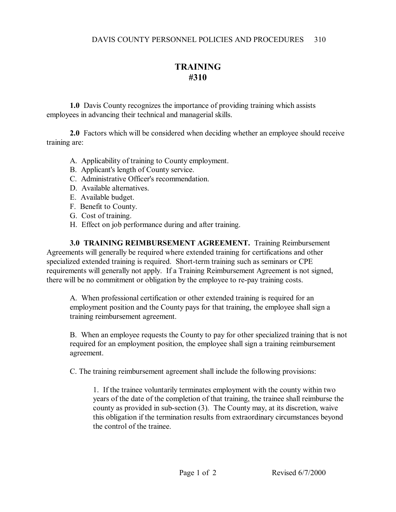## **TRAINING #310**

**1.0** Davis County recognizes the importance of providing training which assists employees in advancing their technical and managerial skills.

**2.0** Factors which will be considered when deciding whether an employee should receive training are:

- A. Applicability of training to County employment.
- B. Applicant's length of County service.
- C. Administrative Officer's recommendation.
- D. Available alternatives.
- E. Available budget.
- F. Benefit to County.
- G. Cost of training.
- H. Effect on job performance during and after training.

**3.0 TRAINING REIMBURSEMENT AGREEMENT.** Training Reimbursement Agreements will generally be required where extended training for certifications and other specialized extended training is required. Short-term training such as seminars or CPE requirements will generally not apply. If a Training Reimbursement Agreement is not signed, there will be no commitment or obligation by the employee to re-pay training costs.

A. When professional certification or other extended training is required for an employment position and the County pays for that training, the employee shall sign a training reimbursement agreement.

B. When an employee requests the County to pay for other specialized training that is not required for an employment position, the employee shall sign a training reimbursement agreement.

C. The training reimbursement agreement shall include the following provisions:

1. If the trainee voluntarily terminates employment with the county within two years of the date of the completion of that training, the trainee shall reimburse the county as provided in sub-section (3). The County may, at its discretion, waive this obligation if the termination results from extraordinary circumstances beyond the control of the trainee.